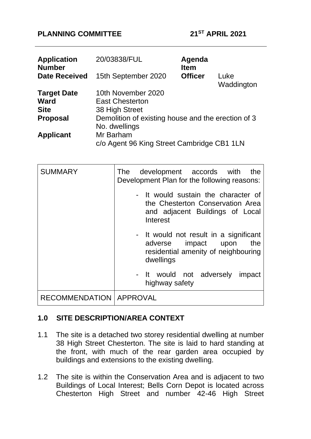### **PLANNING COMMITTEE 21ST APRIL 2021**

| <b>Application</b><br><b>Number</b> | 20/03838/FUL                                       | Agenda<br><b>Item</b> |                    |  |
|-------------------------------------|----------------------------------------------------|-----------------------|--------------------|--|
| <b>Date Received</b>                | 15th September 2020                                | <b>Officer</b>        | Luke<br>Waddington |  |
| <b>Target Date</b>                  | 10th November 2020                                 |                       |                    |  |
| <b>Ward</b>                         | <b>East Chesterton</b>                             |                       |                    |  |
| <b>Site</b>                         | 38 High Street                                     |                       |                    |  |
| <b>Proposal</b>                     | Demolition of existing house and the erection of 3 |                       |                    |  |
|                                     | No. dwellings                                      |                       |                    |  |
| <b>Applicant</b>                    | Mr Barham                                          |                       |                    |  |
|                                     | c/o Agent 96 King Street Cambridge CB1 1LN         |                       |                    |  |

| <b>SUMMARY</b>                   | The development accords with<br>the<br>Development Plan for the following reasons:                                       |
|----------------------------------|--------------------------------------------------------------------------------------------------------------------------|
|                                  | - It would sustain the character of<br>the Chesterton Conservation Area<br>and adjacent Buildings of Local<br>Interest   |
|                                  | - It would not result in a significant<br>adverse impact upon<br>the<br>residential amenity of neighbouring<br>dwellings |
|                                  | - It would not adversely<br>impact<br>highway safety                                                                     |
| <b>RECOMMENDATION   APPROVAL</b> |                                                                                                                          |

# **1.0 SITE DESCRIPTION/AREA CONTEXT**

- 1.1 The site is a detached two storey residential dwelling at number 38 High Street Chesterton. The site is laid to hard standing at the front, with much of the rear garden area occupied by buildings and extensions to the existing dwelling.
- 1.2 The site is within the Conservation Area and is adjacent to two Buildings of Local Interest; Bells Corn Depot is located across Chesterton High Street and number 42-46 High Street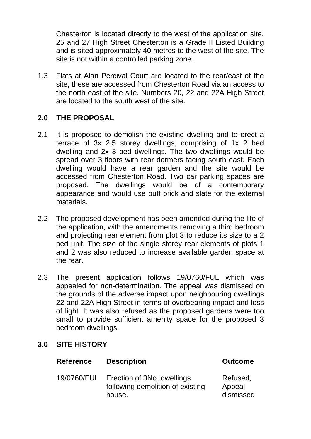Chesterton is located directly to the west of the application site. 25 and 27 High Street Chesterton is a Grade II Listed Building and is sited approximately 40 metres to the west of the site. The site is not within a controlled parking zone.

1.3 Flats at Alan Percival Court are located to the rear/east of the site, these are accessed from Chesterton Road via an access to the north east of the site. Numbers 20, 22 and 22A High Street are located to the south west of the site.

# **2.0 THE PROPOSAL**

- 2.1 It is proposed to demolish the existing dwelling and to erect a terrace of 3x 2.5 storey dwellings, comprising of 1x 2 bed dwelling and 2x 3 bed dwellings. The two dwellings would be spread over 3 floors with rear dormers facing south east. Each dwelling would have a rear garden and the site would be accessed from Chesterton Road. Two car parking spaces are proposed. The dwellings would be of a contemporary appearance and would use buff brick and slate for the external materials.
- 2.2 The proposed development has been amended during the life of the application, with the amendments removing a third bedroom and projecting rear element from plot 3 to reduce its size to a 2 bed unit. The size of the single storey rear elements of plots 1 and 2 was also reduced to increase available garden space at the rear.
- 2.3 The present application follows 19/0760/FUL which was appealed for non-determination. The appeal was dismissed on the grounds of the adverse impact upon neighbouring dwellings 22 and 22A High Street in terms of overbearing impact and loss of light. It was also refused as the proposed gardens were too small to provide sufficient amenity space for the proposed 3 bedroom dwellings.

### **3.0 SITE HISTORY**

| <b>Reference</b> | <b>Description</b>                                                       | <b>Outcome</b>                  |  |
|------------------|--------------------------------------------------------------------------|---------------------------------|--|
| 19/0760/FUL      | Erection of 3No. dwellings<br>following demolition of existing<br>house. | Refused,<br>Appeal<br>dismissed |  |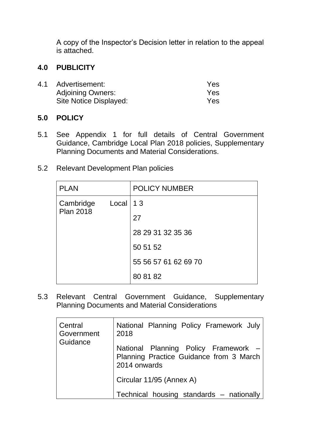A copy of the Inspector's Decision letter in relation to the appeal is attached.

### **4.0 PUBLICITY**

| 4.1 | Advertisement:           | Yes |
|-----|--------------------------|-----|
|     | <b>Adjoining Owners:</b> | Yes |
|     | Site Notice Displayed:   | Yes |

#### **5.0 POLICY**

- 5.1 See Appendix 1 for full details of Central Government Guidance, Cambridge Local Plan 2018 policies, Supplementary Planning Documents and Material Considerations.
- 5.2 Relevant Development Plan policies

| <b>PLAN</b>                   |              | <b>POLICY NUMBER</b> |
|-------------------------------|--------------|----------------------|
| Cambridge<br><b>Plan 2018</b> | $Local$   13 |                      |
|                               |              | 27                   |
|                               |              | 28 29 31 32 35 36    |
|                               |              | 50 51 52             |
|                               |              | 55 56 57 61 62 69 70 |
|                               |              | 80 81 82             |

5.3 Relevant Central Government Guidance, Supplementary Planning Documents and Material Considerations

| Central<br>Government<br>Guidance | National Planning Policy Framework July<br>2018                                                 |  |
|-----------------------------------|-------------------------------------------------------------------------------------------------|--|
|                                   | National Planning Policy Framework -<br>Planning Practice Guidance from 3 March<br>2014 onwards |  |
|                                   | Circular 11/95 (Annex A)                                                                        |  |
|                                   | Technical housing standards - nationally                                                        |  |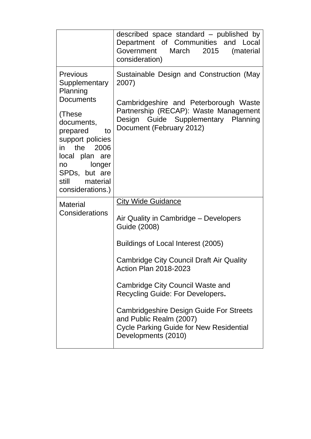|                                                                                                                                                                                                                                        | described space standard – published by<br>Department of Communities and Local<br>Government<br>March 2015<br>(material<br>consideration)                                                                                                                                                                                                                                                                                          |
|----------------------------------------------------------------------------------------------------------------------------------------------------------------------------------------------------------------------------------------|------------------------------------------------------------------------------------------------------------------------------------------------------------------------------------------------------------------------------------------------------------------------------------------------------------------------------------------------------------------------------------------------------------------------------------|
| <b>Previous</b><br>Supplementary<br>Planning<br><b>Documents</b><br>(These<br>documents,<br>prepared<br>to<br>support policies<br>in the 2006<br>local plan are<br>no longer<br>SPDs, but are<br>still<br>material<br>considerations.) | Sustainable Design and Construction (May<br>2007)<br>Cambridgeshire and Peterborough Waste<br>Partnership (RECAP): Waste Management<br>Design Guide Supplementary Planning<br>Document (February 2012)                                                                                                                                                                                                                             |
| <b>Material</b><br>Considerations                                                                                                                                                                                                      | <b>City Wide Guidance</b><br>Air Quality in Cambridge – Developers<br>Guide (2008)<br>Buildings of Local Interest (2005)<br>Cambridge City Council Draft Air Quality<br><b>Action Plan 2018-2023</b><br>Cambridge City Council Waste and<br>Recycling Guide: For Developers.<br><b>Cambridgeshire Design Guide For Streets</b><br>and Public Realm (2007)<br><b>Cycle Parking Guide for New Residential</b><br>Developments (2010) |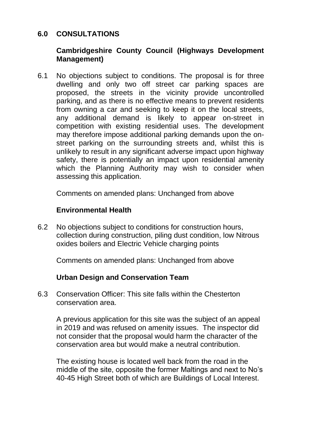### **6.0 CONSULTATIONS**

### **Cambridgeshire County Council (Highways Development Management)**

6.1 No objections subject to conditions. The proposal is for three dwelling and only two off street car parking spaces are proposed, the streets in the vicinity provide uncontrolled parking, and as there is no effective means to prevent residents from owning a car and seeking to keep it on the local streets, any additional demand is likely to appear on-street in competition with existing residential uses. The development may therefore impose additional parking demands upon the onstreet parking on the surrounding streets and, whilst this is unlikely to result in any significant adverse impact upon highway safety, there is potentially an impact upon residential amenity which the Planning Authority may wish to consider when assessing this application.

Comments on amended plans: Unchanged from above

### **Environmental Health**

6.2 No objections subject to conditions for construction hours, collection during construction, piling dust condition, low Nitrous oxides boilers and Electric Vehicle charging points

Comments on amended plans: Unchanged from above

### **Urban Design and Conservation Team**

6.3 Conservation Officer: This site falls within the Chesterton conservation area.

A previous application for this site was the subject of an appeal in 2019 and was refused on amenity issues. The inspector did not consider that the proposal would harm the character of the conservation area but would make a neutral contribution.

The existing house is located well back from the road in the middle of the site, opposite the former Maltings and next to No's 40-45 High Street both of which are Buildings of Local Interest.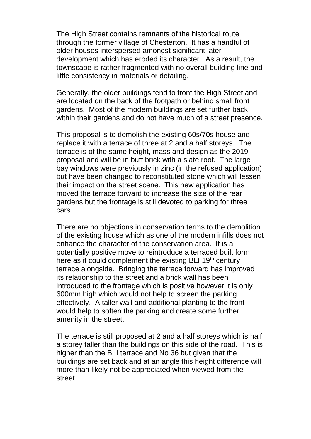The High Street contains remnants of the historical route through the former village of Chesterton. It has a handful of older houses interspersed amongst significant later development which has eroded its character. As a result, the townscape is rather fragmented with no overall building line and little consistency in materials or detailing.

Generally, the older buildings tend to front the High Street and are located on the back of the footpath or behind small front gardens. Most of the modern buildings are set further back within their gardens and do not have much of a street presence.

This proposal is to demolish the existing 60s/70s house and replace it with a terrace of three at 2 and a half storeys. The terrace is of the same height, mass and design as the 2019 proposal and will be in buff brick with a slate roof. The large bay windows were previously in zinc (in the refused application) but have been changed to reconstituted stone which will lessen their impact on the street scene. This new application has moved the terrace forward to increase the size of the rear gardens but the frontage is still devoted to parking for three cars.

There are no objections in conservation terms to the demolition of the existing house which as one of the modern infills does not enhance the character of the conservation area. It is a potentially positive move to reintroduce a terraced built form here as it could complement the existing BLI  $19<sup>th</sup>$  century terrace alongside. Bringing the terrace forward has improved its relationship to the street and a brick wall has been introduced to the frontage which is positive however it is only 600mm high which would not help to screen the parking effectively. A taller wall and additional planting to the front would help to soften the parking and create some further amenity in the street.

The terrace is still proposed at 2 and a half storeys which is half a storey taller than the buildings on this side of the road. This is higher than the BLI terrace and No 36 but given that the buildings are set back and at an angle this height difference will more than likely not be appreciated when viewed from the street.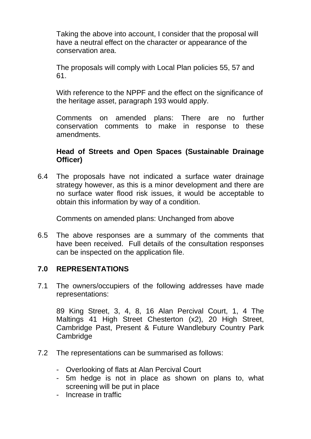Taking the above into account, I consider that the proposal will have a neutral effect on the character or appearance of the conservation area.

The proposals will comply with Local Plan policies 55, 57 and 61.

With reference to the NPPF and the effect on the significance of the heritage asset, paragraph 193 would apply.

Comments on amended plans: There are no further conservation comments to make in response to these amendments.

### **Head of Streets and Open Spaces (Sustainable Drainage Officer)**

6.4 The proposals have not indicated a surface water drainage strategy however, as this is a minor development and there are no surface water flood risk issues, it would be acceptable to obtain this information by way of a condition.

Comments on amended plans: Unchanged from above

6.5 The above responses are a summary of the comments that have been received. Full details of the consultation responses can be inspected on the application file.

### **7.0 REPRESENTATIONS**

7.1 The owners/occupiers of the following addresses have made representations:

89 King Street, 3, 4, 8, 16 Alan Percival Court, 1, 4 The Maltings 41 High Street Chesterton (x2), 20 High Street, Cambridge Past, Present & Future Wandlebury Country Park **Cambridge** 

- 7.2 The representations can be summarised as follows:
	- Overlooking of flats at Alan Percival Court
	- 5m hedge is not in place as shown on plans to, what screening will be put in place
	- Increase in traffic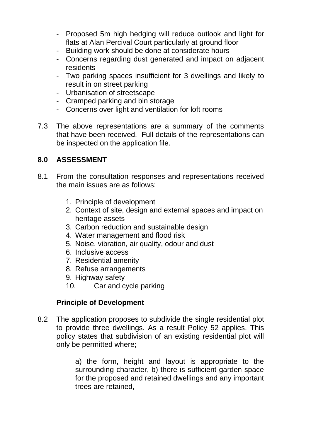- Proposed 5m high hedging will reduce outlook and light for flats at Alan Percival Court particularly at ground floor
- Building work should be done at considerate hours
- Concerns regarding dust generated and impact on adjacent residents
- Two parking spaces insufficient for 3 dwellings and likely to result in on street parking
- Urbanisation of streetscape
- Cramped parking and bin storage
- Concerns over light and ventilation for loft rooms
- 7.3 The above representations are a summary of the comments that have been received. Full details of the representations can be inspected on the application file.

# **8.0 ASSESSMENT**

- 8.1 From the consultation responses and representations received the main issues are as follows:
	- 1. Principle of development
	- 2. Context of site, design and external spaces and impact on heritage assets
	- 3. Carbon reduction and sustainable design
	- 4. Water management and flood risk
	- 5. Noise, vibration, air quality, odour and dust
	- 6. Inclusive access
	- 7. Residential amenity
	- 8. Refuse arrangements
	- 9. Highway safety
	- 10. Car and cycle parking

# **Principle of Development**

8.2 The application proposes to subdivide the single residential plot to provide three dwellings. As a result Policy 52 applies. This policy states that subdivision of an existing residential plot will only be permitted where;

> a) the form, height and layout is appropriate to the surrounding character, b) there is sufficient garden space for the proposed and retained dwellings and any important trees are retained,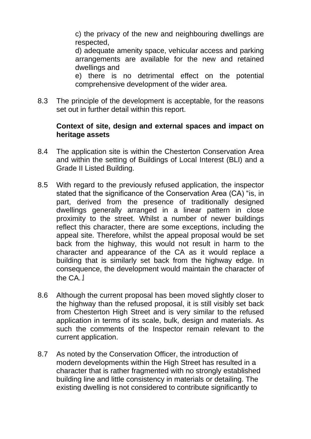c) the privacy of the new and neighbouring dwellings are respected,

d) adequate amenity space, vehicular access and parking arrangements are available for the new and retained dwellings and

e) there is no detrimental effect on the potential comprehensive development of the wider area.

8.3 The principle of the development is acceptable, for the reasons set out in further detail within this report.

#### **Context of site, design and external spaces and impact on heritage assets**

- 8.4 The application site is within the Chesterton Conservation Area and within the setting of Buildings of Local Interest (BLI) and a Grade II Listed Building.
- 8.5 With regard to the previously refused application, the inspector stated that the significance of the Conservation Area (CA) "is, in part, derived from the presence of traditionally designed dwellings generally arranged in a linear pattern in close proximity to the street. Whilst a number of newer buildings reflect this character, there are some exceptions, including the appeal site. Therefore, whilst the appeal proposal would be set back from the highway, this would not result in harm to the character and appearance of the CA as it would replace a building that is similarly set back from the highway edge. In consequence, the development would maintain the character of the  $CA$   $\parallel$
- 8.6 Although the current proposal has been moved slightly closer to the highway than the refused proposal, it is still visibly set back from Chesterton High Street and is very similar to the refused application in terms of its scale, bulk, design and materials. As such the comments of the Inspector remain relevant to the current application.
- 8.7 As noted by the Conservation Officer, the introduction of modern developments within the High Street has resulted in a character that is rather fragmented with no strongly established building line and little consistency in materials or detailing. The existing dwelling is not considered to contribute significantly to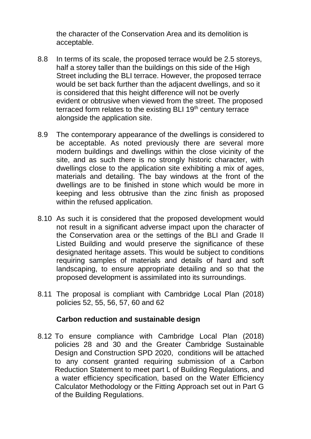the character of the Conservation Area and its demolition is acceptable.

- 8.8 In terms of its scale, the proposed terrace would be 2.5 storeys, half a storey taller than the buildings on this side of the High Street including the BLI terrace. However, the proposed terrace would be set back further than the adjacent dwellings, and so it is considered that this height difference will not be overly evident or obtrusive when viewed from the street. The proposed terraced form relates to the existing BLI  $19<sup>th</sup>$  century terrace alongside the application site.
- 8.9 The contemporary appearance of the dwellings is considered to be acceptable. As noted previously there are several more modern buildings and dwellings within the close vicinity of the site, and as such there is no strongly historic character, with dwellings close to the application site exhibiting a mix of ages, materials and detailing. The bay windows at the front of the dwellings are to be finished in stone which would be more in keeping and less obtrusive than the zinc finish as proposed within the refused application.
- 8.10 As such it is considered that the proposed development would not result in a significant adverse impact upon the character of the Conservation area or the settings of the BLI and Grade II Listed Building and would preserve the significance of these designated heritage assets. This would be subject to conditions requiring samples of materials and details of hard and soft landscaping, to ensure appropriate detailing and so that the proposed development is assimilated into its surroundings.
- 8.11 The proposal is compliant with Cambridge Local Plan (2018) policies 52, 55, 56, 57, 60 and 62

### **Carbon reduction and sustainable design**

8.12 To ensure compliance with Cambridge Local Plan (2018) policies 28 and 30 and the Greater Cambridge Sustainable Design and Construction SPD 2020, conditions will be attached to any consent granted requiring submission of a Carbon Reduction Statement to meet part L of Building Regulations, and a water efficiency specification, based on the Water Efficiency Calculator Methodology or the Fitting Approach set out in Part G of the Building Regulations.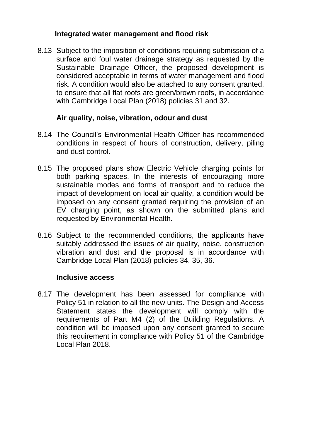### **Integrated water management and flood risk**

8.13 Subject to the imposition of conditions requiring submission of a surface and foul water drainage strategy as requested by the Sustainable Drainage Officer, the proposed development is considered acceptable in terms of water management and flood risk. A condition would also be attached to any consent granted, to ensure that all flat roofs are green/brown roofs, in accordance with Cambridge Local Plan (2018) policies 31 and 32.

# **Air quality, noise, vibration, odour and dust**

- 8.14 The Council's Environmental Health Officer has recommended conditions in respect of hours of construction, delivery, piling and dust control.
- 8.15 The proposed plans show Electric Vehicle charging points for both parking spaces. In the interests of encouraging more sustainable modes and forms of transport and to reduce the impact of development on local air quality, a condition would be imposed on any consent granted requiring the provision of an EV charging point, as shown on the submitted plans and requested by Environmental Health.
- 8.16 Subject to the recommended conditions, the applicants have suitably addressed the issues of air quality, noise, construction vibration and dust and the proposal is in accordance with Cambridge Local Plan (2018) policies 34, 35, 36.

### **Inclusive access**

8.17 The development has been assessed for compliance with Policy 51 in relation to all the new units. The Design and Access Statement states the development will comply with the requirements of Part M4 (2) of the Building Regulations. A condition will be imposed upon any consent granted to secure this requirement in compliance with Policy 51 of the Cambridge Local Plan 2018.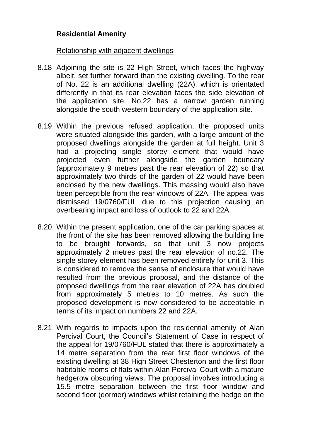### **Residential Amenity**

#### Relationship with adjacent dwellings

- 8.18 Adjoining the site is 22 High Street, which faces the highway albeit, set further forward than the existing dwelling. To the rear of No. 22 is an additional dwelling (22A), which is orientated differently in that its rear elevation faces the side elevation of the application site. No.22 has a narrow garden running alongside the south western boundary of the application site.
- 8.19 Within the previous refused application, the proposed units were situated alongside this garden, with a large amount of the proposed dwellings alongside the garden at full height. Unit 3 had a projecting single storey element that would have projected even further alongside the garden boundary (approximately 9 metres past the rear elevation of 22) so that approximately two thirds of the garden of 22 would have been enclosed by the new dwellings. This massing would also have been perceptible from the rear windows of 22A. The appeal was dismissed 19/0760/FUL due to this projection causing an overbearing impact and loss of outlook to 22 and 22A.
- 8.20 Within the present application, one of the car parking spaces at the front of the site has been removed allowing the building line to be brought forwards, so that unit 3 now projects approximately 2 metres past the rear elevation of no.22. The single storey element has been removed entirely for unit 3. This is considered to remove the sense of enclosure that would have resulted from the previous proposal, and the distance of the proposed dwellings from the rear elevation of 22A has doubled from approximately 5 metres to 10 metres. As such the proposed development is now considered to be acceptable in terms of its impact on numbers 22 and 22A.
- 8.21 With regards to impacts upon the residential amenity of Alan Percival Court, the Council's Statement of Case in respect of the appeal for 19/0760/FUL stated that there is approximately a 14 metre separation from the rear first floor windows of the existing dwelling at 38 High Street Chesterton and the first floor habitable rooms of flats within Alan Percival Court with a mature hedgerow obscuring views. The proposal involves introducing a 15.5 metre separation between the first floor window and second floor (dormer) windows whilst retaining the hedge on the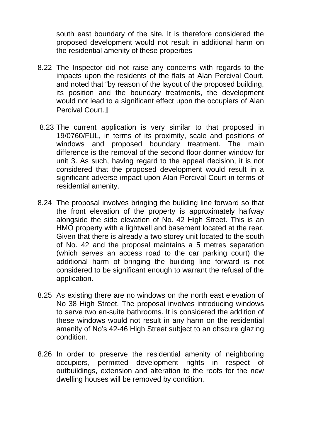south east boundary of the site. It is therefore considered the proposed development would not result in additional harm on the residential amenity of these properties

- 8.22 The Inspector did not raise any concerns with regards to the impacts upon the residents of the flats at Alan Percival Court, and noted that "by reason of the layout of the proposed building, its position and the boundary treatments, the development would not lead to a significant effect upon the occupiers of Alan Percival Court. I
- 8.23 The current application is very similar to that proposed in 19/0760/FUL, in terms of its proximity, scale and positions of windows and proposed boundary treatment. The main difference is the removal of the second floor dormer window for unit 3. As such, having regard to the appeal decision, it is not considered that the proposed development would result in a significant adverse impact upon Alan Percival Court in terms of residential amenity.
- 8.24 The proposal involves bringing the building line forward so that the front elevation of the property is approximately halfway alongside the side elevation of No. 42 High Street. This is an HMO property with a lightwell and basement located at the rear. Given that there is already a two storey unit located to the south of No. 42 and the proposal maintains a 5 metres separation (which serves an access road to the car parking court) the additional harm of bringing the building line forward is not considered to be significant enough to warrant the refusal of the application.
- 8.25 As existing there are no windows on the north east elevation of No 38 High Street. The proposal involves introducing windows to serve two en-suite bathrooms. It is considered the addition of these windows would not result in any harm on the residential amenity of No's 42-46 High Street subject to an obscure glazing condition.
- 8.26 In order to preserve the residential amenity of neighboring occupiers, permitted development rights in respect of outbuildings, extension and alteration to the roofs for the new dwelling houses will be removed by condition.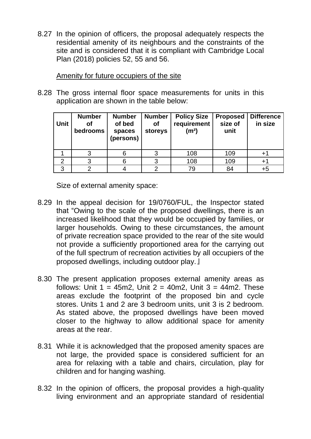8.27 In the opinion of officers, the proposal adequately respects the residential amenity of its neighbours and the constraints of the site and is considered that it is compliant with Cambridge Local Plan (2018) policies 52, 55 and 56.

#### Amenity for future occupiers of the site

8.28 The gross internal floor space measurements for units in this application are shown in the table below:

| <b>Unit</b> | <b>Number</b><br><b>of</b><br>bedrooms | <b>Number</b><br>of bed<br>spaces<br>(persons) | <b>Number</b><br><b>of</b><br>storeys | <b>Policy Size</b><br>requirement<br>(m <sup>2</sup> ) | <b>Proposed</b><br>size of<br>unit | <b>Difference</b><br>in size |
|-------------|----------------------------------------|------------------------------------------------|---------------------------------------|--------------------------------------------------------|------------------------------------|------------------------------|
|             |                                        | 6                                              |                                       | 108                                                    | 109                                | $+^{\circ}$                  |
| 2           |                                        | 6                                              |                                       | 108                                                    | 109                                | $+1$                         |
| 3           |                                        |                                                |                                       | 79                                                     | 84                                 | +5                           |

Size of external amenity space:

- 8.29 In the appeal decision for 19/0760/FUL, the Inspector stated that "Owing to the scale of the proposed dwellings, there is an increased likelihood that they would be occupied by families, or larger households. Owing to these circumstances, the amount of private recreation space provided to the rear of the site would not provide a sufficiently proportioned area for the carrying out of the full spectrum of recreation activities by all occupiers of the proposed dwellings, including outdoor play. I
- 8.30 The present application proposes external amenity areas as follows: Unit  $1 = 45m2$ , Unit  $2 = 40m2$ , Unit  $3 = 44m2$ . These areas exclude the footprint of the proposed bin and cycle stores. Units 1 and 2 are 3 bedroom units, unit 3 is 2 bedroom. As stated above, the proposed dwellings have been moved closer to the highway to allow additional space for amenity areas at the rear.
- 8.31 While it is acknowledged that the proposed amenity spaces are not large, the provided space is considered sufficient for an area for relaxing with a table and chairs, circulation, play for children and for hanging washing.
- 8.32 In the opinion of officers, the proposal provides a high-quality living environment and an appropriate standard of residential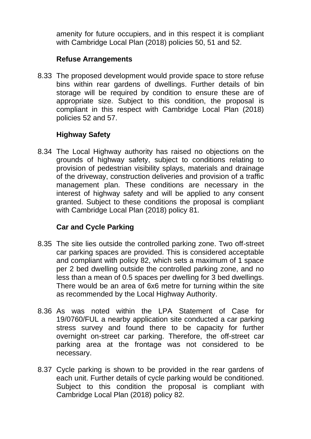amenity for future occupiers, and in this respect it is compliant with Cambridge Local Plan (2018) policies 50, 51 and 52.

### **Refuse Arrangements**

8.33 The proposed development would provide space to store refuse bins within rear gardens of dwellings. Further details of bin storage will be required by condition to ensure these are of appropriate size. Subject to this condition, the proposal is compliant in this respect with Cambridge Local Plan (2018) policies 52 and 57.

# **Highway Safety**

8.34 The Local Highway authority has raised no objections on the grounds of highway safety, subject to conditions relating to provision of pedestrian visibility splays, materials and drainage of the driveway, construction deliveries and provision of a traffic management plan. These conditions are necessary in the interest of highway safety and will be applied to any consent granted. Subject to these conditions the proposal is compliant with Cambridge Local Plan (2018) policy 81.

### **Car and Cycle Parking**

- 8.35 The site lies outside the controlled parking zone. Two off-street car parking spaces are provided. This is considered acceptable and compliant with policy 82, which sets a maximum of 1 space per 2 bed dwelling outside the controlled parking zone, and no less than a mean of 0.5 spaces per dwelling for 3 bed dwellings. There would be an area of 6x6 metre for turning within the site as recommended by the Local Highway Authority.
- 8.36 As was noted within the LPA Statement of Case for 19/0760/FUL a nearby application site conducted a car parking stress survey and found there to be capacity for further overnight on-street car parking. Therefore, the off-street car parking area at the frontage was not considered to be necessary.
- 8.37 Cycle parking is shown to be provided in the rear gardens of each unit. Further details of cycle parking would be conditioned. Subject to this condition the proposal is compliant with Cambridge Local Plan (2018) policy 82.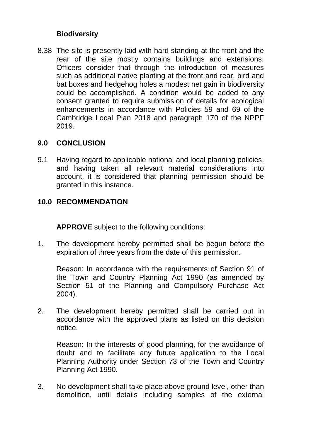### **Biodiversity**

8.38 The site is presently laid with hard standing at the front and the rear of the site mostly contains buildings and extensions. Officers consider that through the introduction of measures such as additional native planting at the front and rear, bird and bat boxes and hedgehog holes a modest net gain in biodiversity could be accomplished. A condition would be added to any consent granted to require submission of details for ecological enhancements in accordance with Policies 59 and 69 of the Cambridge Local Plan 2018 and paragraph 170 of the NPPF 2019.

### **9.0 CONCLUSION**

9.1 Having regard to applicable national and local planning policies, and having taken all relevant material considerations into account, it is considered that planning permission should be granted in this instance.

### **10.0 RECOMMENDATION**

**APPROVE** subject to the following conditions:

1. The development hereby permitted shall be begun before the expiration of three years from the date of this permission.

Reason: In accordance with the requirements of Section 91 of the Town and Country Planning Act 1990 (as amended by Section 51 of the Planning and Compulsory Purchase Act 2004).

2. The development hereby permitted shall be carried out in accordance with the approved plans as listed on this decision notice.

Reason: In the interests of good planning, for the avoidance of doubt and to facilitate any future application to the Local Planning Authority under Section 73 of the Town and Country Planning Act 1990.

3. No development shall take place above ground level, other than demolition, until details including samples of the external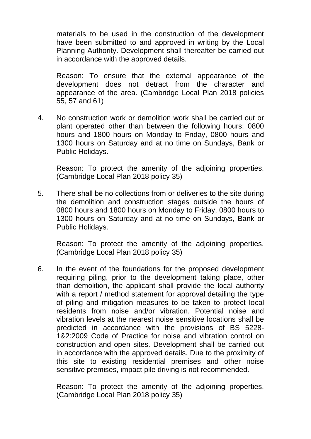materials to be used in the construction of the development have been submitted to and approved in writing by the Local Planning Authority. Development shall thereafter be carried out in accordance with the approved details.

Reason: To ensure that the external appearance of the development does not detract from the character and appearance of the area. (Cambridge Local Plan 2018 policies 55, 57 and 61)

4. No construction work or demolition work shall be carried out or plant operated other than between the following hours: 0800 hours and 1800 hours on Monday to Friday, 0800 hours and 1300 hours on Saturday and at no time on Sundays, Bank or Public Holidays.

Reason: To protect the amenity of the adjoining properties. (Cambridge Local Plan 2018 policy 35)

5. There shall be no collections from or deliveries to the site during the demolition and construction stages outside the hours of 0800 hours and 1800 hours on Monday to Friday, 0800 hours to 1300 hours on Saturday and at no time on Sundays, Bank or Public Holidays.

Reason: To protect the amenity of the adjoining properties. (Cambridge Local Plan 2018 policy 35)

6. In the event of the foundations for the proposed development requiring piling, prior to the development taking place, other than demolition, the applicant shall provide the local authority with a report / method statement for approval detailing the type of piling and mitigation measures to be taken to protect local residents from noise and/or vibration. Potential noise and vibration levels at the nearest noise sensitive locations shall be predicted in accordance with the provisions of BS 5228- 1&2:2009 Code of Practice for noise and vibration control on construction and open sites. Development shall be carried out in accordance with the approved details. Due to the proximity of this site to existing residential premises and other noise sensitive premises, impact pile driving is not recommended.

Reason: To protect the amenity of the adjoining properties. (Cambridge Local Plan 2018 policy 35)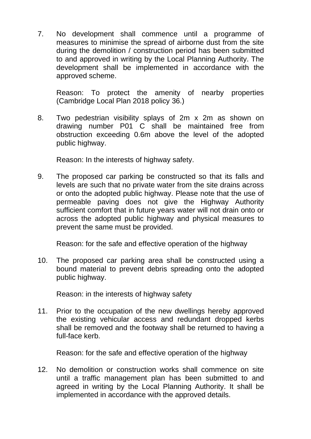7. No development shall commence until a programme of measures to minimise the spread of airborne dust from the site during the demolition / construction period has been submitted to and approved in writing by the Local Planning Authority. The development shall be implemented in accordance with the approved scheme.

Reason: To protect the amenity of nearby properties (Cambridge Local Plan 2018 policy 36.)

8. Two pedestrian visibility splays of 2m x 2m as shown on drawing number P01 C shall be maintained free from obstruction exceeding 0.6m above the level of the adopted public highway.

Reason: In the interests of highway safety.

9. The proposed car parking be constructed so that its falls and levels are such that no private water from the site drains across or onto the adopted public highway. Please note that the use of permeable paving does not give the Highway Authority sufficient comfort that in future years water will not drain onto or across the adopted public highway and physical measures to prevent the same must be provided.

Reason: for the safe and effective operation of the highway

10. The proposed car parking area shall be constructed using a bound material to prevent debris spreading onto the adopted public highway.

Reason: in the interests of highway safety

11. Prior to the occupation of the new dwellings hereby approved the existing vehicular access and redundant dropped kerbs shall be removed and the footway shall be returned to having a full-face kerb.

Reason: for the safe and effective operation of the highway

12. No demolition or construction works shall commence on site until a traffic management plan has been submitted to and agreed in writing by the Local Planning Authority. It shall be implemented in accordance with the approved details.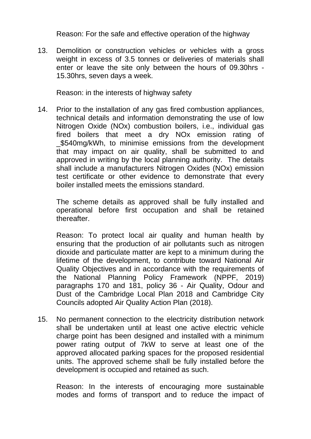Reason: For the safe and effective operation of the highway

13. Demolition or construction vehicles or vehicles with a gross weight in excess of 3.5 tonnes or deliveries of materials shall enter or leave the site only between the hours of 09.30hrs - 15.30hrs, seven days a week.

Reason: in the interests of highway safety

14. Prior to the installation of any gas fired combustion appliances, technical details and information demonstrating the use of low Nitrogen Oxide (NOx) combustion boilers, i.e., individual gas fired boilers that meet a dry NOx emission rating of \$540mg/kWh, to minimise emissions from the development that may impact on air quality, shall be submitted to and approved in writing by the local planning authority. The details shall include a manufacturers Nitrogen Oxides (NOx) emission test certificate or other evidence to demonstrate that every boiler installed meets the emissions standard.

The scheme details as approved shall be fully installed and operational before first occupation and shall be retained thereafter.

Reason: To protect local air quality and human health by ensuring that the production of air pollutants such as nitrogen dioxide and particulate matter are kept to a minimum during the lifetime of the development, to contribute toward National Air Quality Objectives and in accordance with the requirements of the National Planning Policy Framework (NPPF, 2019) paragraphs 170 and 181, policy 36 - Air Quality, Odour and Dust of the Cambridge Local Plan 2018 and Cambridge City Councils adopted Air Quality Action Plan (2018).

15. No permanent connection to the electricity distribution network shall be undertaken until at least one active electric vehicle charge point has been designed and installed with a minimum power rating output of 7kW to serve at least one of the approved allocated parking spaces for the proposed residential units. The approved scheme shall be fully installed before the development is occupied and retained as such.

Reason: In the interests of encouraging more sustainable modes and forms of transport and to reduce the impact of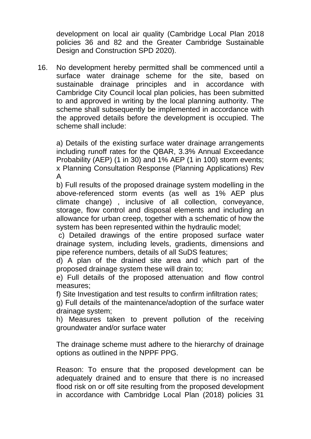development on local air quality (Cambridge Local Plan 2018 policies 36 and 82 and the Greater Cambridge Sustainable Design and Construction SPD 2020).

16. No development hereby permitted shall be commenced until a surface water drainage scheme for the site, based on sustainable drainage principles and in accordance with Cambridge City Council local plan policies, has been submitted to and approved in writing by the local planning authority. The scheme shall subsequently be implemented in accordance with the approved details before the development is occupied. The scheme shall include:

a) Details of the existing surface water drainage arrangements including runoff rates for the QBAR, 3.3% Annual Exceedance Probability (AEP) (1 in 30) and 1% AEP (1 in 100) storm events; x Planning Consultation Response (Planning Applications) Rev A

b) Full results of the proposed drainage system modelling in the above-referenced storm events (as well as 1% AEP plus climate change) , inclusive of all collection, conveyance, storage, flow control and disposal elements and including an allowance for urban creep, together with a schematic of how the system has been represented within the hydraulic model;

c) Detailed drawings of the entire proposed surface water drainage system, including levels, gradients, dimensions and pipe reference numbers, details of all SuDS features;

d) A plan of the drained site area and which part of the proposed drainage system these will drain to;

e) Full details of the proposed attenuation and flow control measures;

f) Site Investigation and test results to confirm infiltration rates;

g) Full details of the maintenance/adoption of the surface water drainage system;

h) Measures taken to prevent pollution of the receiving groundwater and/or surface water

The drainage scheme must adhere to the hierarchy of drainage options as outlined in the NPPF PPG.

Reason: To ensure that the proposed development can be adequately drained and to ensure that there is no increased flood risk on or off site resulting from the proposed development in accordance with Cambridge Local Plan (2018) policies 31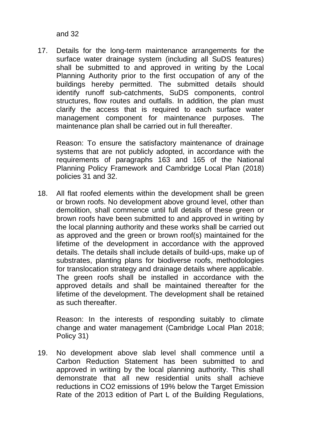and 32

17. Details for the long-term maintenance arrangements for the surface water drainage system (including all SuDS features) shall be submitted to and approved in writing by the Local Planning Authority prior to the first occupation of any of the buildings hereby permitted. The submitted details should identify runoff sub-catchments, SuDS components, control structures, flow routes and outfalls. In addition, the plan must clarify the access that is required to each surface water management component for maintenance purposes. The maintenance plan shall be carried out in full thereafter.

Reason: To ensure the satisfactory maintenance of drainage systems that are not publicly adopted, in accordance with the requirements of paragraphs 163 and 165 of the National Planning Policy Framework and Cambridge Local Plan (2018) policies 31 and 32.

18. All flat roofed elements within the development shall be green or brown roofs. No development above ground level, other than demolition, shall commence until full details of these green or brown roofs have been submitted to and approved in writing by the local planning authority and these works shall be carried out as approved and the green or brown roof(s) maintained for the lifetime of the development in accordance with the approved details. The details shall include details of build-ups, make up of substrates, planting plans for biodiverse roofs, methodologies for translocation strategy and drainage details where applicable. The green roofs shall be installed in accordance with the approved details and shall be maintained thereafter for the lifetime of the development. The development shall be retained as such thereafter.

Reason: In the interests of responding suitably to climate change and water management (Cambridge Local Plan 2018; Policy 31)

19. No development above slab level shall commence until a Carbon Reduction Statement has been submitted to and approved in writing by the local planning authority. This shall demonstrate that all new residential units shall achieve reductions in CO2 emissions of 19% below the Target Emission Rate of the 2013 edition of Part L of the Building Regulations,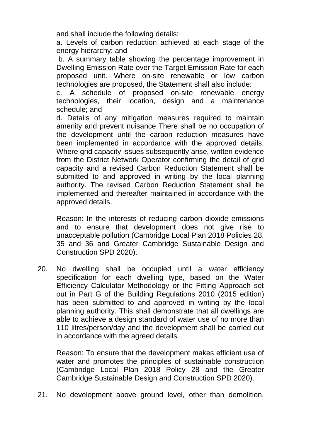and shall include the following details:

a. Levels of carbon reduction achieved at each stage of the energy hierarchy; and

b. A summary table showing the percentage improvement in Dwelling Emission Rate over the Target Emission Rate for each proposed unit. Where on-site renewable or low carbon technologies are proposed, the Statement shall also include:

c. A schedule of proposed on-site renewable energy technologies, their location, design and a maintenance schedule; and

d. Details of any mitigation measures required to maintain amenity and prevent nuisance There shall be no occupation of the development until the carbon reduction measures have been implemented in accordance with the approved details. Where grid capacity issues subsequently arise, written evidence from the District Network Operator confirming the detail of grid capacity and a revised Carbon Reduction Statement shall be submitted to and approved in writing by the local planning authority. The revised Carbon Reduction Statement shall be implemented and thereafter maintained in accordance with the approved details.

Reason: In the interests of reducing carbon dioxide emissions and to ensure that development does not give rise to unacceptable pollution (Cambridge Local Plan 2018 Policies 28, 35 and 36 and Greater Cambridge Sustainable Design and Construction SPD 2020).

20. No dwelling shall be occupied until a water efficiency specification for each dwelling type, based on the Water Efficiency Calculator Methodology or the Fitting Approach set out in Part G of the Building Regulations 2010 (2015 edition) has been submitted to and approved in writing by the local planning authority. This shall demonstrate that all dwellings are able to achieve a design standard of water use of no more than 110 litres/person/day and the development shall be carried out in accordance with the agreed details.

Reason: To ensure that the development makes efficient use of water and promotes the principles of sustainable construction (Cambridge Local Plan 2018 Policy 28 and the Greater Cambridge Sustainable Design and Construction SPD 2020).

21. No development above ground level, other than demolition,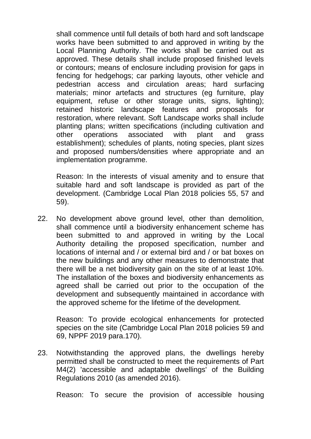shall commence until full details of both hard and soft landscape works have been submitted to and approved in writing by the Local Planning Authority. The works shall be carried out as approved. These details shall include proposed finished levels or contours; means of enclosure including provision for gaps in fencing for hedgehogs; car parking layouts, other vehicle and pedestrian access and circulation areas; hard surfacing materials; minor artefacts and structures (eg furniture, play equipment, refuse or other storage units, signs, lighting); retained historic landscape features and proposals for restoration, where relevant. Soft Landscape works shall include planting plans; written specifications (including cultivation and other operations associated with plant and grass establishment); schedules of plants, noting species, plant sizes and proposed numbers/densities where appropriate and an implementation programme.

Reason: In the interests of visual amenity and to ensure that suitable hard and soft landscape is provided as part of the development. (Cambridge Local Plan 2018 policies 55, 57 and 59).

22. No development above ground level, other than demolition, shall commence until a biodiversity enhancement scheme has been submitted to and approved in writing by the Local Authority detailing the proposed specification, number and locations of internal and / or external bird and / or bat boxes on the new buildings and any other measures to demonstrate that there will be a net biodiversity gain on the site of at least 10%. The installation of the boxes and biodiversity enhancements as agreed shall be carried out prior to the occupation of the development and subsequently maintained in accordance with the approved scheme for the lifetime of the development.

Reason: To provide ecological enhancements for protected species on the site (Cambridge Local Plan 2018 policies 59 and 69, NPPF 2019 para.170).

23. Notwithstanding the approved plans, the dwellings hereby permitted shall be constructed to meet the requirements of Part M4(2) 'accessible and adaptable dwellings' of the Building Regulations 2010 (as amended 2016).

Reason: To secure the provision of accessible housing